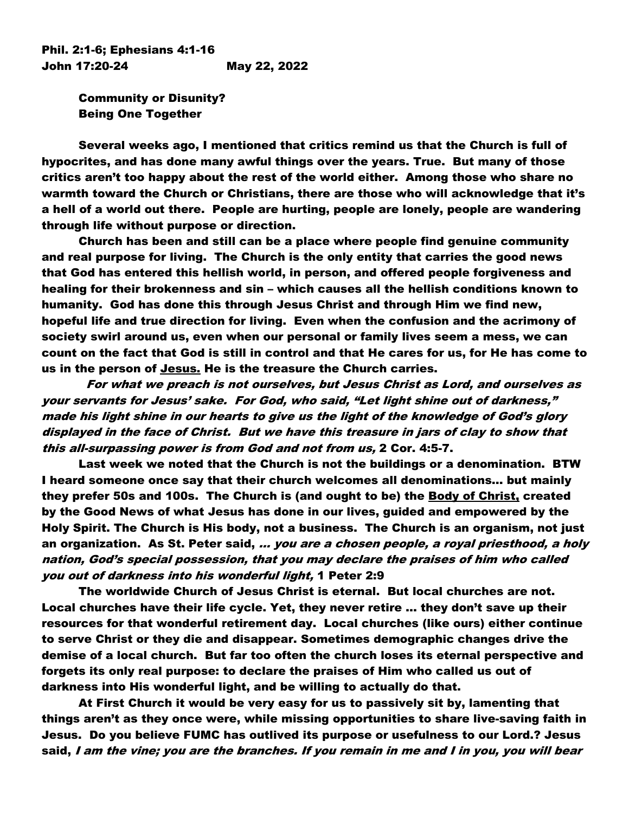Phil. 2:1-6; Ephesians 4:1-16 John 17:20-24 May 22, 2022

> Community or Disunity? Being One Together

Several weeks ago, I mentioned that critics remind us that the Church is full of hypocrites, and has done many awful things over the years. True. But many of those critics aren't too happy about the rest of the world either. Among those who share no warmth toward the Church or Christians, there are those who will acknowledge that it's a hell of a world out there. People are hurting, people are lonely, people are wandering through life without purpose or direction.

Church has been and still can be a place where people find genuine community and real purpose for living. The Church is the only entity that carries the good news that God has entered this hellish world, in person, and offered people forgiveness and healing for their brokenness and sin – which causes all the hellish conditions known to humanity. God has done this through Jesus Christ and through Him we find new, hopeful life and true direction for living. Even when the confusion and the acrimony of society swirl around us, even when our personal or family lives seem a mess, we can count on the fact that God is still in control and that He cares for us, for He has come to us in the person of Jesus. He is the treasure the Church carries.

 For what we preach is not ourselves, but Jesus Christ as Lord, and ourselves as your servants for Jesus' sake. For God, who said, "Let light shine out of darkness," made his light shine in our hearts to give us the light of the knowledge of God's glory displayed in the face of Christ. But we have this treasure in jars of clay to show that this all-surpassing power is from God and not from us, 2 Cor. 4:5-7.

Last week we noted that the Church is not the buildings or a denomination. BTW I heard someone once say that their church welcomes all denominations… but mainly they prefer 50s and 100s. The Church is (and ought to be) the **Body of Christ, created** by the Good News of what Jesus has done in our lives, guided and empowered by the Holy Spirit. The Church is His body, not a business. The Church is an organism, not just an organization. As St. Peter said, … you are a chosen people, a royal priesthood, a holy nation, God's special possession, that you may declare the praises of him who called you out of darkness into his wonderful light, 1 Peter 2:9

The worldwide Church of Jesus Christ is eternal. But local churches are not. Local churches have their life cycle. Yet, they never retire … they don't save up their resources for that wonderful retirement day. Local churches (like ours) either continue to serve Christ or they die and disappear. Sometimes demographic changes drive the demise of a local church. But far too often the church loses its eternal perspective and forgets its only real purpose: to declare the praises of Him who called us out of darkness into His wonderful light, and be willing to actually do that.

At First Church it would be very easy for us to passively sit by, lamenting that things aren't as they once were, while missing opportunities to share live-saving faith in Jesus. Do you believe FUMC has outlived its purpose or usefulness to our Lord.? Jesus said, I am the vine; you are the branches. If you remain in me and I in you, you will bear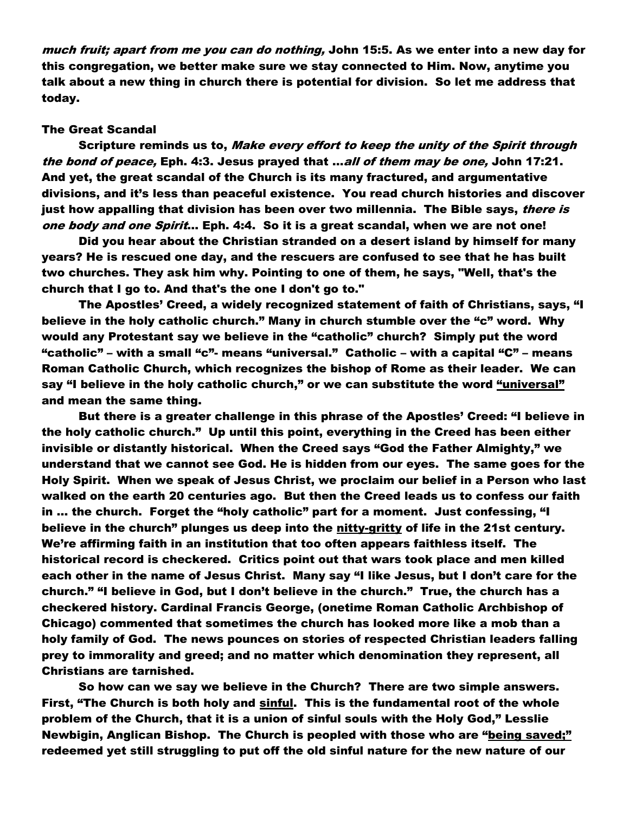much fruit; apart from me you can do nothing, John 15:5. As we enter into a new day for this congregation, we better make sure we stay connected to Him. Now, anytime you talk about a new thing in church there is potential for division. So let me address that today.

## The Great Scandal

Scripture reminds us to, *Make every effort to keep the unity of the Spirit through* the bond of peace, Eph. 4:3. Jesus prayed that ...all of them may be one, John 17:21. And yet, the great scandal of the Church is its many fractured, and argumentative divisions, and it's less than peaceful existence. You read church histories and discover just how appalling that division has been over two millennia. The Bible says, *there is* one body and one Spirit... Eph. 4:4. So it is a great scandal, when we are not one!

Did you hear about the Christian stranded on a desert island by himself for many years? He is rescued one day, and the rescuers are confused to see that he has built two churches. They ask him why. Pointing to one of them, he says, "Well, that's the church that I go to. And that's the one I don't go to."

The Apostles' Creed, a widely recognized statement of faith of Christians, says, "I believe in the holy catholic church." Many in church stumble over the "c" word. Why would any Protestant say we believe in the "catholic" church? Simply put the word "catholic" – with a small "c"- means "universal." Catholic – with a capital "C" – means Roman Catholic Church, which recognizes the bishop of Rome as their leader. We can say "I believe in the holy catholic church," or we can substitute the word <u>"universal"</u> and mean the same thing.

But there is a greater challenge in this phrase of the Apostles' Creed: "I believe in the holy catholic church." Up until this point, everything in the Creed has been either invisible or distantly historical. When the Creed says "God the Father Almighty," we understand that we cannot see God. He is hidden from our eyes. The same goes for the Holy Spirit. When we speak of Jesus Christ, we proclaim our belief in a Person who last walked on the earth 20 centuries ago. But then the Creed leads us to confess our faith in … the church. Forget the "holy catholic" part for a moment. Just confessing, "I believe in the church" plunges us deep into the nitty-gritty of life in the 21st century. We're affirming faith in an institution that too often appears faithless itself. The historical record is checkered. Critics point out that wars took place and men killed each other in the name of Jesus Christ. Many say "I like Jesus, but I don't care for the church." "I believe in God, but I don't believe in the church." True, the church has a checkered history. Cardinal Francis George, (onetime Roman Catholic Archbishop of Chicago) commented that sometimes the church has looked more like a mob than a holy family of God. The news pounces on stories of respected Christian leaders falling prey to immorality and greed; and no matter which denomination they represent, all Christians are tarnished.

So how can we say we believe in the Church? There are two simple answers. First, "The Church is both holy and sinful. This is the fundamental root of the whole problem of the Church, that it is a union of sinful souls with the Holy God," Lesslie Newbigin, Anglican Bishop. The Church is peopled with those who are "being saved;" redeemed yet still struggling to put off the old sinful nature for the new nature of our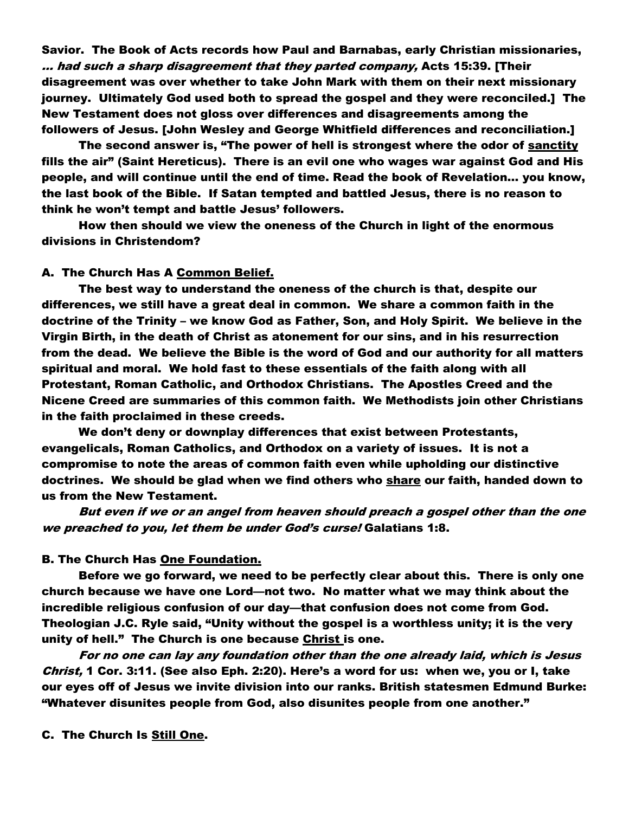Savior. The Book of Acts records how Paul and Barnabas, early Christian missionaries, … had such a sharp disagreement that they parted company, Acts 15:39. [Their disagreement was over whether to take John Mark with them on their next missionary journey. Ultimately God used both to spread the gospel and they were reconciled.] The New Testament does not gloss over differences and disagreements among the followers of Jesus. [John Wesley and George Whitfield differences and reconciliation.]

The second answer is, "The power of hell is strongest where the odor of sanctity fills the air" (Saint Hereticus). There is an evil one who wages war against God and His people, and will continue until the end of time. Read the book of Revelation… you know, the last book of the Bible. If Satan tempted and battled Jesus, there is no reason to think he won't tempt and battle Jesus' followers.

How then should we view the oneness of the Church in light of the enormous divisions in Christendom?

# A. The Church Has A Common Belief.

The best way to understand the oneness of the church is that, despite our differences, we still have a great deal in common. We share a common faith in the doctrine of the Trinity – we know God as Father, Son, and Holy Spirit. We believe in the Virgin Birth, in the death of Christ as atonement for our sins, and in his resurrection from the dead. We believe the Bible is the word of God and our authority for all matters spiritual and moral. We hold fast to these essentials of the faith along with all Protestant, Roman Catholic, and Orthodox Christians. The Apostles Creed and the Nicene Creed are summaries of this common faith. We Methodists join other Christians in the faith proclaimed in these creeds.

We don't deny or downplay differences that exist between Protestants, evangelicals, Roman Catholics, and Orthodox on a variety of issues. It is not a compromise to note the areas of common faith even while upholding our distinctive doctrines. We should be glad when we find others who share our faith, handed down to us from the New Testament.

But even if we or an angel from heaven should preach a gospel other than the one we preached to you, let them be under God's curse! Galatians 1:8.

### B. The Church Has One Foundation.

Before we go forward, we need to be perfectly clear about this. There is only one church because we have one Lord—not two. No matter what we may think about the incredible religious confusion of our day—that confusion does not come from God. Theologian J.C. Ryle said, "Unity without the gospel is a worthless unity; it is the very unity of hell." The Church is one because Christ is one.

For no one can lay any foundation other than the one already laid, which is Jesus Christ, 1 Cor. 3:11. (See also Eph. 2:20). Here's a word for us: when we, you or I, take our eyes off of Jesus we invite division into our ranks. British statesmen Edmund Burke: "Whatever disunites people from God, also disunites people from one another."

C. The Church Is Still One.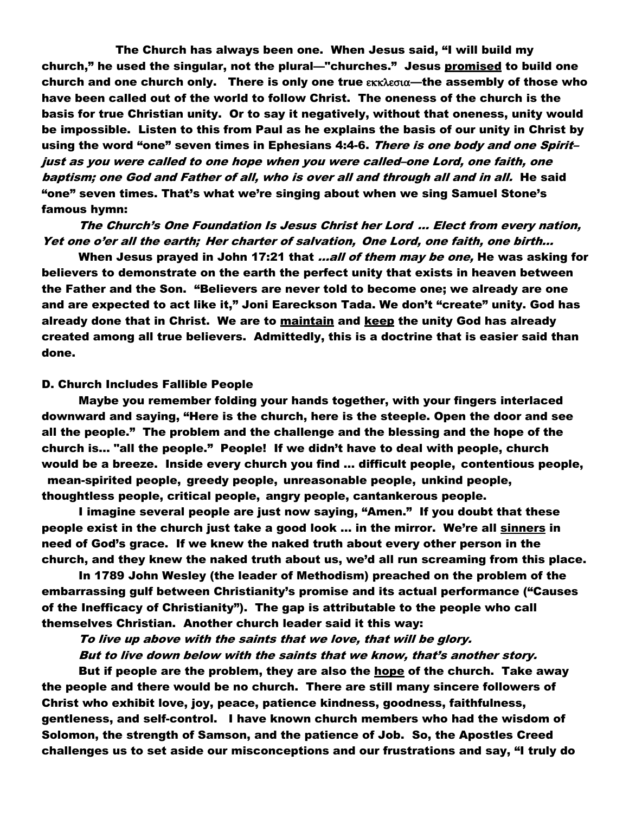The Church has always been one. When Jesus said, "I will build my church," he used the singular, not the plural—"churches." Jesus promised to build one church and one church only. There is only one true  $\epsilon$ <sub>KK</sub> $\epsilon$ <sub>6</sub> $\alpha$ —the assembly of those who have been called out of the world to follow Christ. The oneness of the church is the basis for true Christian unity. Or to say it negatively, without that oneness, unity would be impossible. Listen to this from Paul as he explains the basis of our unity in Christ by using the word "one" seven times in Ephesians 4:4-6. *There is one body and one Spirit*just as you were called to one hope when you were called–one Lord, one faith, one baptism; one God and Father of all, who is over all and through all and in all. He said "one" seven times. That's what we're singing about when we sing Samuel Stone's famous hymn:

The Church's One Foundation Is Jesus Christ her Lord … Elect from every nation, Yet one o'er all the earth; Her charter of salvation, One Lord, one faith, one birth...

When Jesus prayed in John 17:21 that *...all of them may be one*, He was asking for believers to demonstrate on the earth the perfect unity that exists in heaven between the Father and the Son. "Believers are never told to become one; we already are one and are expected to act like it," Joni Eareckson Tada. We don't "create" unity. God has already done that in Christ. We are to maintain and keep the unity God has already created among all true believers. Admittedly, this is a doctrine that is easier said than done.

#### D. Church Includes Fallible People

Maybe you remember folding your hands together, with your fingers interlaced downward and saying, "Here is the church, here is the steeple. Open the door and see all the people." The problem and the challenge and the blessing and the hope of the church is… "all the people." People! If we didn't have to deal with people, church would be a breeze. Inside every church you find … difficult people, contentious people, mean-spirited people, greedy people, unreasonable people, unkind people, thoughtless people, critical people, angry people, cantankerous people.

I imagine several people are just now saying, "Amen." If you doubt that these people exist in the church just take a good look … in the mirror. We're all sinners in need of God's grace. If we knew the naked truth about every other person in the church, and they knew the naked truth about us, we'd all run screaming from this place.

In 1789 John Wesley (the leader of Methodism) preached on the problem of the embarrassing gulf between Christianity's promise and its actual performance ("Causes of the Inefficacy of Christianity"). The gap is attributable to the people who call themselves Christian. Another church leader said it this way:

To live up above with the saints that we love, that will be glory. But to live down below with the saints that we know, that's another story.

But if people are the problem, they are also the hope of the church. Take away the people and there would be no church. There are still many sincere followers of Christ who exhibit love, joy, peace, patience kindness, goodness, faithfulness, gentleness, and self-control. I have known church members who had the wisdom of Solomon, the strength of Samson, and the patience of Job. So, the Apostles Creed challenges us to set aside our misconceptions and our frustrations and say, "I truly do